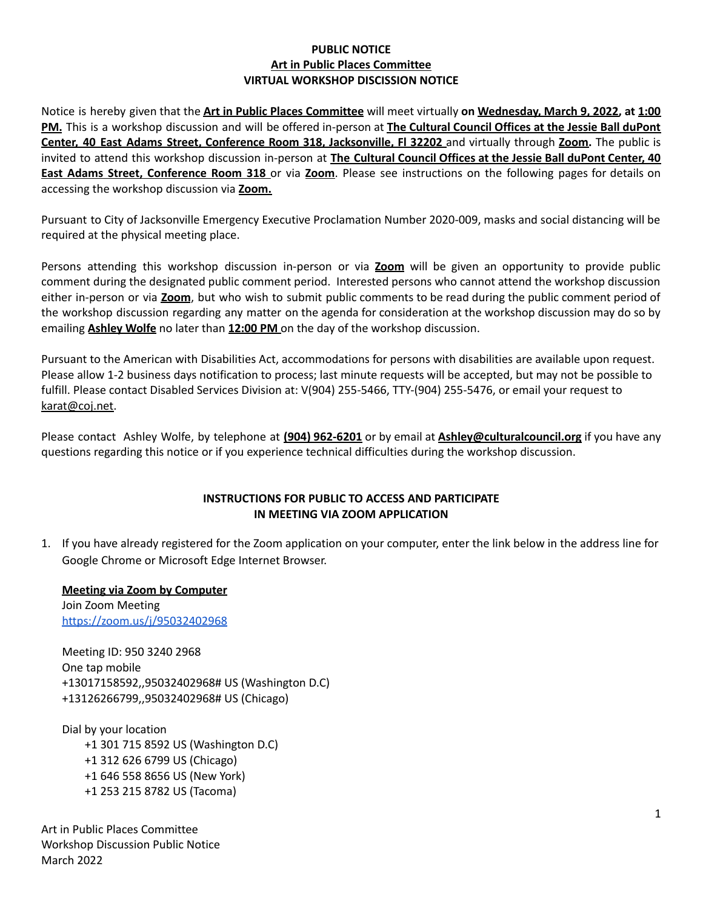## **PUBLIC NOTICE Art in Public Places Committee VIRTUAL WORKSHOP DISCISSION NOTICE**

Notice is hereby given that the **Art in Public Places Committee** will meet virtually **on Wednesday, March 9, 2022, at 1:00 PM.** This is a workshop discussion and will be offered in-person at **The Cultural Council Offices at the Jessie Ball duPont Center, 40 East Adams Street, Conference Room 318, Jacksonville, Fl 32202** and virtually through **Zoom.** The public is invited to attend this workshop discussion in-person at **The Cultural Council Offices at the Jessie Ball duPont Center, 40 East Adams Street, Conference Room 318** or via **Zoom**. Please see instructions on the following pages for details on accessing the workshop discussion via **Zoom.**

Pursuant to City of Jacksonville Emergency Executive Proclamation Number 2020-009, masks and social distancing will be required at the physical meeting place.

Persons attending this workshop discussion in-person or via **Zoom** will be given an opportunity to provide public comment during the designated public comment period. Interested persons who cannot attend the workshop discussion either in-person or via **Zoom**, but who wish to submit public comments to be read during the public comment period of the workshop discussion regarding any matter on the agenda for consideration at the workshop discussion may do so by emailing **Ashley Wolfe** no later than **12:00 PM** on the day of the workshop discussion.

Pursuant to the American with Disabilities Act, accommodations for persons with disabilities are available upon request. Please allow 1-2 business days notification to process; last minute requests will be accepted, but may not be possible to fulfill. Please contact Disabled Services Division at: V(904) 255-5466, TTY-(904) 255-5476, or email your request to [karat@coj.net.](mailto:karat@coj.net)

Please contact Ashley Wolfe, by telephone at **(904) 962-6201** or by email at **Ashley@culturalcouncil.org** if you have any questions regarding this notice or if you experience technical difficulties during the workshop discussion.

## **INSTRUCTIONS FOR PUBLIC TO ACCESS AND PARTICIPATE IN MEETING VIA ZOOM APPLICATION**

1. If you have already registered for the Zoom application on your computer, enter the link below in the address line for Google Chrome or Microsoft Edge Internet Browser.

**Meeting via Zoom by Computer** Join Zoom Meeting <https://zoom.us/j/95032402968>

Meeting ID: 950 3240 2968 One tap mobile +13017158592,,95032402968# US (Washington D.C) +13126266799,,95032402968# US (Chicago)

Dial by your location +1 301 715 8592 US (Washington D.C) +1 312 626 6799 US (Chicago) +1 646 558 8656 US (New York) +1 253 215 8782 US (Tacoma)

Art in Public Places Committee Workshop Discussion Public Notice March 2022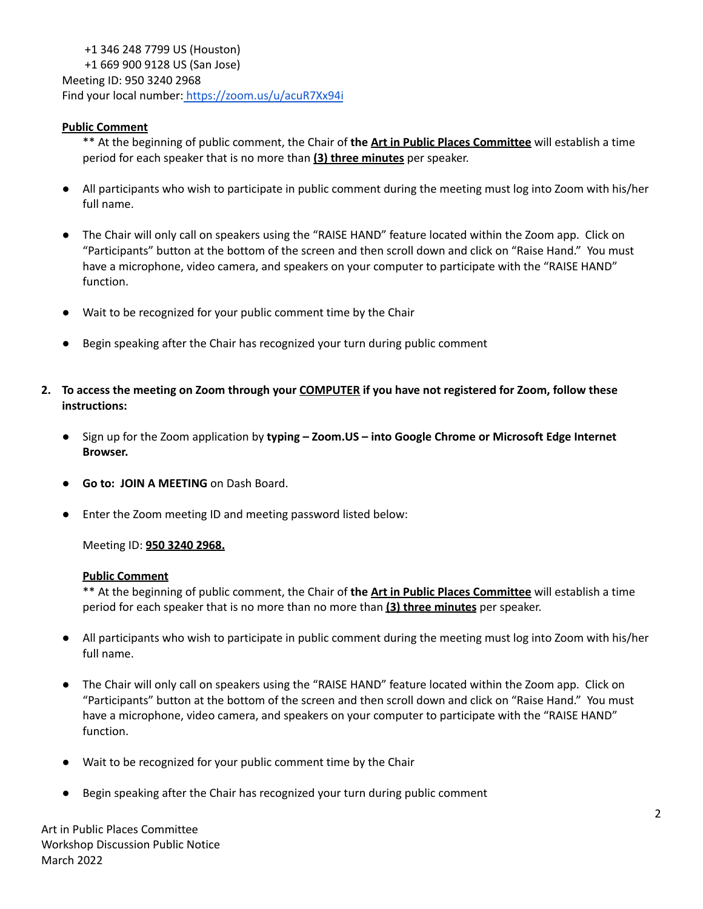+1 346 248 7799 US (Houston) +1 669 900 9128 US (San Jose) Meeting ID: 950 3240 2968 Find your local number: <https://zoom.us/u/acuR7Xx94i>

# **Public Comment**

\*\* At the beginning of public comment, the Chair of **the Art in Public Places Committee** will establish a time period for each speaker that is no more than **(3) three minutes** per speaker.

- All participants who wish to participate in public comment during the meeting must log into Zoom with his/her full name.
- The Chair will only call on speakers using the "RAISE HAND" feature located within the Zoom app. Click on "Participants" button at the bottom of the screen and then scroll down and click on "Raise Hand." You must have a microphone, video camera, and speakers on your computer to participate with the "RAISE HAND" function.
- Wait to be recognized for your public comment time by the Chair
- Begin speaking after the Chair has recognized your turn during public comment
- 2. To access the meeting on Zoom through your COMPUTER if you have not registered for Zoom, follow these **instructions:**
	- **●** Sign up for the Zoom application by **typing – Zoom.US – into Google Chrome or Microsoft Edge Internet Browser.**
	- **Go to: JOIN A MEETING** on Dash Board.
	- Enter the Zoom meeting ID and meeting password listed below:

Meeting ID: **950 3240 2968.**

#### **Public Comment**

\*\* At the beginning of public comment, the Chair of **the Art in Public Places Committee** will establish a time period for each speaker that is no more than no more than **(3) three minutes** per speaker.

- All participants who wish to participate in public comment during the meeting must log into Zoom with his/her full name.
- The Chair will only call on speakers using the "RAISE HAND" feature located within the Zoom app. Click on "Participants" button at the bottom of the screen and then scroll down and click on "Raise Hand." You must have a microphone, video camera, and speakers on your computer to participate with the "RAISE HAND" function.
- Wait to be recognized for your public comment time by the Chair
- Begin speaking after the Chair has recognized your turn during public comment

Art in Public Places Committee Workshop Discussion Public Notice March 2022